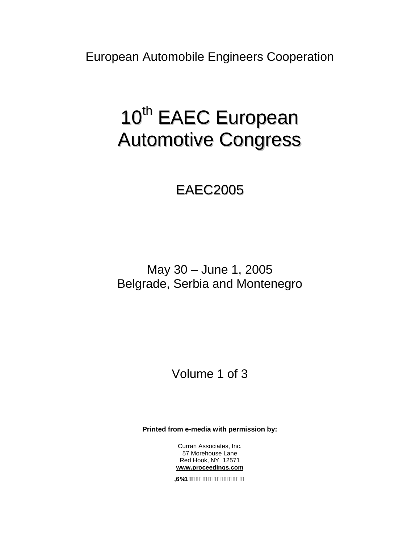European Automobile Engineers Cooperation

# 10<sup>th</sup> EAEC European Automotive Congress

# EAEC2005

May 30 – June 1, 2005 Belgrade, Serbia and Montenegro

## Volume 1 of 3

**Printed from e-media with permission by:** 

Curran Associates, Inc. 57 Morehouse Lane Red Hook, NY 12571 **[www.proceedings.com](http://www.proceedings.com/)**

 $-66 B. - +$ ,  $1\%*$  \$(& !\* \$(!\$)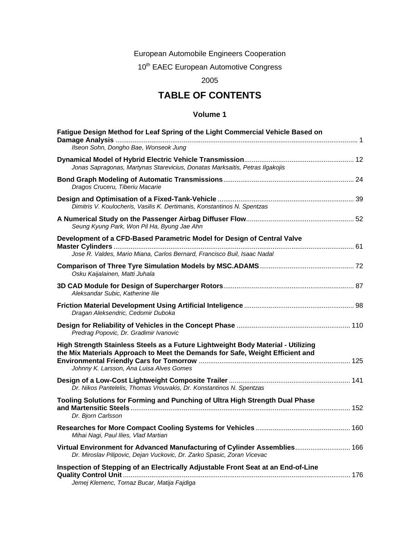European Automobile Engineers Cooperation

10<sup>th</sup> EAEC European Automotive Congress

2005

## **TABLE OF CONTENTS**

### **Volume 1**

| Fatigue Design Method for Leaf Spring of the Light Commercial Vehicle Based on                                                                                                                                |  |
|---------------------------------------------------------------------------------------------------------------------------------------------------------------------------------------------------------------|--|
| Ilseon Sohn, Dongho Bae, Wonseok Jung                                                                                                                                                                         |  |
| Jonas Sapragonas, Martynas Starevicius, Donatas Marksaitis, Petras Ilgakojis                                                                                                                                  |  |
| Dragos Cruceru, Tiberiu Macarie                                                                                                                                                                               |  |
| Dimitris V. Koulocheris, Vasilis K. Dertimanis, Konstantinos N. Spentzas                                                                                                                                      |  |
| Seung Kyung Park, Won Pil Ha, Byung Jae Ahn                                                                                                                                                                   |  |
| Development of a CFD-Based Parametric Model for Design of Central Valve<br>Jose R. Valdes, Mario Miana, Carlos Bernard, Francisco Buil, Isaac Nadal                                                           |  |
| Osku Kaijalainen, Matti Juhala                                                                                                                                                                                |  |
| Aleksandar Subic, Katherine Ilie                                                                                                                                                                              |  |
| Dragan Aleksendric, Cedomir Duboka                                                                                                                                                                            |  |
| Predrag Popovic, Dr. Gradimir Ivanovic                                                                                                                                                                        |  |
| High Strength Stainless Steels as a Future Lightweight Body Material - Utilizing<br>the Mix Materials Approach to Meet the Demands for Safe, Weight Efficient and<br>Johnny K. Larsson, Ana Luisa Alves Gomes |  |
| Dr. Nikos Pantelelis, Thomas Vrouvakis, Dr. Konstantinos N. Spentzas                                                                                                                                          |  |
| Tooling Solutions for Forming and Punching of Ultra High Strength Dual Phase<br>Dr. Bjorn Carlsson                                                                                                            |  |
| Mihai Nagi, Paul Ilies, Vlad Martian                                                                                                                                                                          |  |
| Virtual Environment for Advanced Manufacturing of Cylinder Assemblies 166<br>Dr. Miroslav Pilipovic, Dejan Vuckovic, Dr. Zarko Spasic, Zoran Vicevac                                                          |  |
| Inspection of Stepping of an Electrically Adjustable Front Seat at an End-of-Line<br>Jemej Klemenc, Tomaz Bucar, Matija Fajdiga                                                                               |  |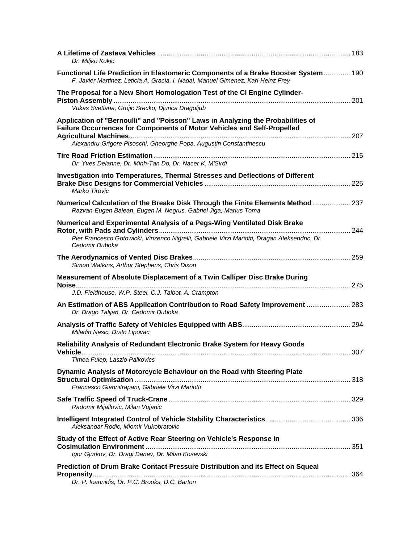| Dr. Miljko Kokic                                                                                                                                                                                                                 |     |
|----------------------------------------------------------------------------------------------------------------------------------------------------------------------------------------------------------------------------------|-----|
| Functional Life Prediction in Elastomeric Components of a Brake Booster System 190<br>F. Javier Martinez, Leticia A. Gracia, I. Nadal, Manuel Gimenez, Karl-Heinz Frey                                                           |     |
| The Proposal for a New Short Homologation Test of the CI Engine Cylinder-                                                                                                                                                        |     |
| Vukas Svetlana, Grojic Srecko, Djurica Dragoljub                                                                                                                                                                                 |     |
| Application of "Bernoulli" and "Poisson" Laws in Analyzing the Probabilities of<br>Failure Occurrences for Components of Motor Vehicles and Self-Propelled<br>Alexandru-Grigore Pisoschi, Gheorghe Popa, Augustin Constantinescu |     |
| Dr. Yves Delanne, Dr. Minh-Tan Do, Dr. Nacer K. M'Sirdi                                                                                                                                                                          |     |
| Investigation into Temperatures, Thermal Stresses and Deflections of Different<br>Marko Tirovic                                                                                                                                  |     |
| Numerical Calculation of the Breake Disk Through the Finite Elements Method 237<br>Razvan-Eugen Balean, Eugen M. Negrus, Gabriel Jiga, Marius Toma                                                                               |     |
| Numerical and Experimental Analysis of a Pegs-Wing Ventilated Disk Brake<br>Pier Francesco Gotowicki, Vinzenco Nigrelli, Gabriele Virzi Mariotti, Dragan Aleksendric, Dr.<br>Cedomir Duboka                                      |     |
| Simon Watkins, Arthur Stephens, Chris Dixon                                                                                                                                                                                      |     |
| Measurement of Absolute Displacement of a Twin Calliper Disc Brake During                                                                                                                                                        |     |
| J.D. Fieldhouse, W.P. Steel, C.J. Talbot, A. Crampton                                                                                                                                                                            |     |
| An Estimation of ABS Application Contribution to Road Safety Improvement  283<br>Dr. Drago Talijan, Dr. Cedomir Duboka                                                                                                           |     |
| Miladin Nesic, Drsto Lipovac                                                                                                                                                                                                     |     |
| Reliability Analysis of Redundant Electronic Brake System for Heavy Goods<br>Timea Fulep, Laszlo Palkovics                                                                                                                       | 307 |
| Dynamic Analysis of Motorcycle Behaviour on the Road with Steering Plate<br>Francesco Giannitrapani, Gabriele Virzi Mariotti                                                                                                     |     |
| Radomir Mijailovic, Milan Vujanic                                                                                                                                                                                                |     |
| Aleksandar Rodic, Miomir Vukobratovic                                                                                                                                                                                            |     |
| Study of the Effect of Active Rear Steering on Vehicle's Response in<br>Igor Gjurkov, Dr. Dragi Danev, Dr. Milan Kosevski                                                                                                        |     |
| Prediction of Drum Brake Contact Pressure Distribution and its Effect on Squeal<br>Dr. P. Ioannidis, Dr. P.C. Brooks, D.C. Barton                                                                                                |     |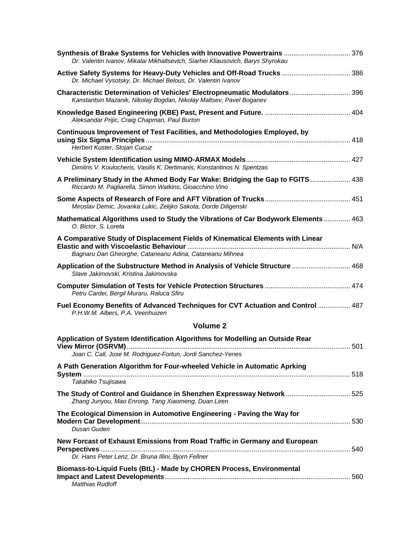| Synthesis of Brake Systems for Vehicles with Innovative Powertrains  376<br>Dr. Valentin Ivanov, Mikalai Mikhaltsevich, Siarhei Kliausovich, Barys Shyrokau |  |
|-------------------------------------------------------------------------------------------------------------------------------------------------------------|--|
| Active Safety Systems for Heavy-Duty Vehicles and Off-Road Trucks  386<br>Dr. Michael Vysotsky, Dr. Michael Belous, Dr. Valentin Ivanov                     |  |
| Characteristic Determination of Vehicles' Electropneumatic Modulators 396<br>Kanstantsin Mazanik, Nikolay Bogdan, Nikolay Maltsev, Pavel Boganev            |  |
| Aleksandar Prijic, Craig Chapman, Paul Burton                                                                                                               |  |
| <b>Continuous Improvement of Test Facilities, and Methodologies Employed, by</b>                                                                            |  |
| Herbert Kuster, Stojan Cucuz                                                                                                                                |  |
| Dimitris V. Koulocheris, Vasilis K. Dertimanis, Konstantinos N. Spentzas                                                                                    |  |
| A Preliminary Study in the Ahmed Body Far Wake: Bridging the Gap to FGITS  438<br>Riccardo M. Pagliarella, Simon Watkins, Gioacchino Vino                   |  |
| Miroslav Demic, Jovanka Lukic, Zelijko Sakota, Dorde Diligenski                                                                                             |  |
| Mathematical Algorithms used to Study the Vibrations of Car Bodywork Elements 463<br>O. Bictor, S. Loreta                                                   |  |
| A Comparative Study of Displacement Fields of Kinematical Elements with Linear<br>Bagnaru Dan Gheorghe, Cataneanu Adina, Cataneanu Mihnea                   |  |
| Application of the Substructure Method in Analysis of Vehicle Structure 468<br>Slave Jakimovski, Kristina Jakimovska                                        |  |
| Petru Cardei, Bergil Muraru, Raluca Sfiru                                                                                                                   |  |
| Fuel Economy Benefits of Advanced Techniques for CVT Actuation and Control  487<br>P.H.W.M. Albers, P.A. Veenhuizen                                         |  |
| <b>Volume 2</b>                                                                                                                                             |  |
| Application of System Identification Algorithms for Modelling an Outside Rear<br>Joan C. Call, Jose M. Rodriguez-Fortun, Jordi Sanchez-Yenes                |  |
| A Path Generation Algorithm for Four-wheeled Vehicle in Automatic Aprking                                                                                   |  |
| Takahiko Tsujisawa                                                                                                                                          |  |
| The Study of Control and Guidance in Shenzhen Expressway Network 525<br>Zhang Junyou, Mao Enrong, Tang Xiaomeng, Duan Liren                                 |  |
| The Ecological Dimension in Automotive Engineering - Paving the Way for<br>Dusan Guden                                                                      |  |
| New Forcast of Exhaust Emissions from Road Traffic in Germany and European<br>Dr. Hans Peter Lenz, Dr. Bruna Illini, Bjorn Fellner                          |  |
| Biomass-to-Liquid Fuels (BtL) - Made by CHOREN Process, Environmental<br>Matthias Rudloff                                                                   |  |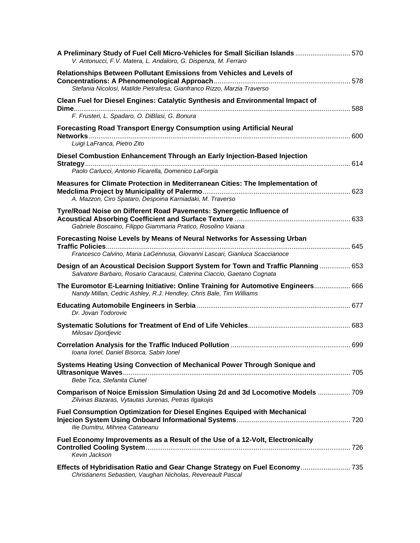| A Preliminary Study of Fuel Cell Micro-Vehicles for Small Sicilian Islands  570<br>V. Antonucci, F.V. Matera, L. Andaloro, G. Dispenza, M. Ferraro            |  |
|---------------------------------------------------------------------------------------------------------------------------------------------------------------|--|
| Relationships Between Pollutant Emissions from Vehicles and Levels of                                                                                         |  |
| Stefania Nicolosi, Matilde Pietrafesa, Gianfranco Rizzo, Marzia Traverso<br>Clean Fuel for Diesel Engines: Catalytic Synthesis and Environmental Impact of    |  |
| F. Frusteri, L. Spadaro, O. DiBlasi, G. Bonura                                                                                                                |  |
| Forecasting Road Transport Energy Consumption using Artificial Neural<br>Luigi LaFranca, Pietro Zito                                                          |  |
| Diesel Combustion Enhancement Through an Early Injection-Based Injection<br>Paolo Carlucci, Antonio Ficarella, Domenico LaForgia                              |  |
| Measures for Climate Protection in Mediterranean Cities: The Implementation of<br>A. Mazzon, Ciro Spataro, Despoina Karniadaki, M. Traverso                   |  |
| Tyre/Road Noise on Different Road Pavements: Synergetic Influence of<br>Gabriele Boscaino, Filippo Giammaria Pratico, Rosolino Vaiana                         |  |
| Forecasting Noise Levels by Means of Neural Networks for Assessing Urban<br>Francesco Calvino, Maria LaGennusa, Giovanni Lascari, Gianluca Scaccianoce        |  |
| Design of an Acoustical Decision Support System for Town and Traffic Planning  653<br>Salvatore Barbaro, Rosario Caracausi, Caterina Ciaccio, Gaetano Cognata |  |
| The Euromotor E-Learning Initiative: Online Training for Automotive Engineers 666<br>Nandy Millan, Cedric Ashley, R.J. Hendley, Chris Bale, Tim Williams      |  |
| Dr. Jovan Todorovic                                                                                                                                           |  |
| Milosav Djordjevic                                                                                                                                            |  |
| Ioana Ionel, Daniel Bisorca, Sabin Ionel                                                                                                                      |  |
| Systems Heating Using Convection of Mechanical Power Through Sonique and<br>Bebe Tica, Stefanita Ciunel                                                       |  |
| Comparison of Noice Emission Simulation Using 2d and 3d Locomotive Models  709<br>Zilvinas Bazaras, Vytautas Jurenas, Petras Ilgakojis                        |  |
| Fuel Consumption Optimization for Diesel Engines Equiped with Mechanical<br>Ilie Dumitru, Mihnea Cataneanu                                                    |  |
| Fuel Economy Improvements as a Result of the Use of a 12-Volt, Electronically<br>Kevin Jackson                                                                |  |
| Effects of Hybridisation Ratio and Gear Change Strategy on Fuel Economy  735<br>Christianens Sebastien, Vaughan Nicholas, Revereault Pascal                   |  |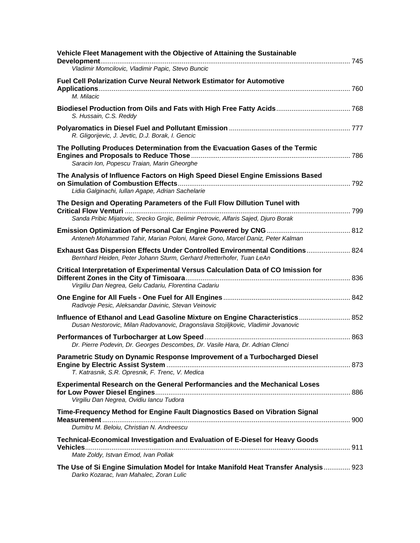| Vehicle Fleet Management with the Objective of Attaining the Sustainable<br>Vladimir Momcilovic, Vladimir Papic, Stevo Buncic                                     |  |
|-------------------------------------------------------------------------------------------------------------------------------------------------------------------|--|
| <b>Fuel Cell Polarization Curve Neural Network Estimator for Automotive</b><br>M. Milacic                                                                         |  |
| S. Hussain, C.S. Reddy                                                                                                                                            |  |
| R. Gligorijevic, J. Jevtic, D.J. Borak, I. Gencic                                                                                                                 |  |
| The Polluting Produces Determination from the Evacuation Gases of the Termic<br>Saracin Ion, Popescu Traian, Marin Gheorghe                                       |  |
| The Analysis of Influence Factors on High Speed Diesel Engine Emissions Based<br>Lidia Galginachi, Iullan Agape, Adrian Sachelarie                                |  |
| The Design and Operating Parameters of the Full Flow Dillution Tunel with<br>Sanda Pribic Mijatovic, Srecko Grojic, Belimir Petrovic, Alfaris Sajed, Djuro Borak  |  |
| Anteneh Mohammed Tahir, Marian Poloni, Marek Gono, Marcel Daniz, Peter Kalman                                                                                     |  |
| Exhaust Gas Dispersion Effects Under Controlled Environmental Conditions 824<br>Bernhard Heiden, Peter Johann Sturm, Gerhard Pretterhofer, Tuan LeAn              |  |
| Critical Interpretation of Experimental Versus Calculation Data of CO Imission for<br>Virgiliu Dan Negrea, Gelu Cadariu, Florentina Cadariu                       |  |
| Radivoje Pesic, Aleksandar Davinic, Stevan Veinovic                                                                                                               |  |
| Influence of Ethanol and Lead Gasoline Mixture on Engine Characteristics 852<br>Dusan Nestorovic, Milan Radovanovic, Dragonslava Stojiljkovic, Vladimir Jovanovic |  |
| Dr. Pierre Podevin, Dr. Georges Descombes, Dr. Vasile Hara, Dr. Adrian Clenci                                                                                     |  |
| Parametric Study on Dynamic Response Improvement of a Turbocharged Diesel<br>T. Katrasnik, S.R. Opresnik, F. Trenc, V. Medica                                     |  |
| Experimental Research on the General Performancies and the Mechanical Loses<br>Virgiliu Dan Negrea, Ovidiu lancu Tudora                                           |  |
| Time-Frequency Method for Engine Fault Diagnostics Based on Vibration Signal<br>Dumitru M. Beloiu, Christian N. Andreescu                                         |  |
| Technical-Economical Investigation and Evaluation of E-Diesel for Heavy Goods<br>Mate Zoldy, Istvan Emod, Ivan Pollak                                             |  |
| The Use of Si Engine Simulation Model for Intake Manifold Heat Transfer Analysis 923<br>Darko Kozarac, Ivan Mahalec, Zoran Lulic                                  |  |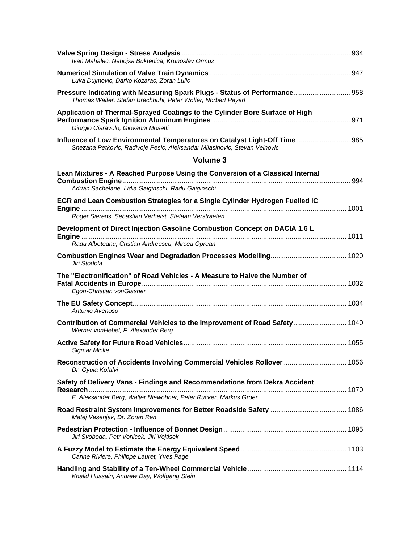| Ivan Mahalec, Nebojsa Buktenica, Krunoslav Ormuz                                                                                                         |  |
|----------------------------------------------------------------------------------------------------------------------------------------------------------|--|
| Luka Dujmovic, Darko Kozarac, Zoran Lulic                                                                                                                |  |
| Pressure Indicating with Measuring Spark Plugs - Status of Performance 958<br>Thomas Walter, Stefan Brechbuhl, Peter Wolfer, Norbert Payerl              |  |
| Application of Thermal-Sprayed Coatings to the Cylinder Bore Surface of High<br>Giorgio Ciaravolo, Giovanni Mosetti                                      |  |
| Influence of Low Environmental Temperatures on Catalyst Light-Off Time  985<br>Snezana Petkovic, Radivoje Pesic, Aleksandar Milasinovic, Stevan Veinovic |  |
| Volume 3                                                                                                                                                 |  |
| Lean Mixtures - A Reached Purpose Using the Conversion of a Classical Internal                                                                           |  |
| Adrian Sachelarie, Lidia Gaiginschi, Radu Gaiginschi                                                                                                     |  |
| EGR and Lean Combustion Strategies for a Single Cylinder Hydrogen Fuelled IC<br>Roger Sierens, Sebastian Verhelst, Stefaan Verstraeten                   |  |
| Development of Direct Injection Gasoline Combustion Concept on DACIA 1.6 L<br>Radu Alboteanu, Cristian Andreescu, Mircea Oprean                          |  |
| Jiri Stodola                                                                                                                                             |  |
|                                                                                                                                                          |  |
| The "Electronification" of Road Vehicles - A Measure to Halve the Number of<br>Egon-Christian vonGlasner                                                 |  |
| Antonio Avenoso                                                                                                                                          |  |
| Contribution of Commercial Vehicles to the Improvement of Road Safety 1040<br>Werner vonHebel, F. Alexander Berg                                         |  |
| Sigmar Micke                                                                                                                                             |  |
| Reconstruction of Accidents Involving Commercial Vehicles Rollover  1056<br>Dr. Gyula Kofalvi                                                            |  |
| Safety of Delivery Vans - Findings and Recommendations from Dekra Accident<br>F. Aleksander Berg, Walter Niewohner, Peter Rucker, Markus Groer           |  |
| Matej Vesenjak, Dr. Zoran Ren                                                                                                                            |  |
| Jiri Svoboda, Petr Vorlicek, Jiri Vojtisek                                                                                                               |  |
| Carine Riviere, Philippe Lauret, Yves Page                                                                                                               |  |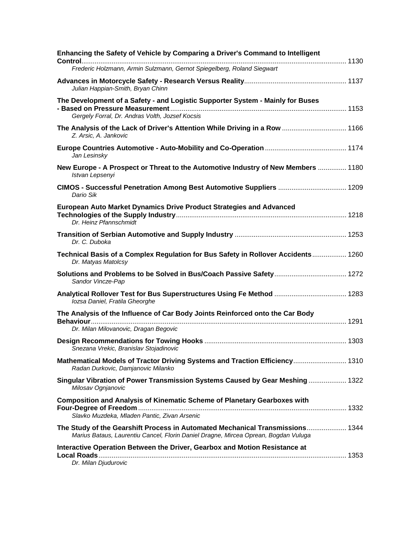| Enhancing the Safety of Vehicle by Comparing a Driver's Command to Intelligent                                                                                       |  |
|----------------------------------------------------------------------------------------------------------------------------------------------------------------------|--|
| Frederic Holzmann, Armin Sulzmann, Gernot Spiegelberg, Roland Siegwart                                                                                               |  |
| Julian Happian-Smith, Bryan Chinn                                                                                                                                    |  |
| The Development of a Safety - and Logistic Supporter System - Mainly for Buses<br>Gergely Forral, Dr. Andras Volth, Jozsef Kocsis                                    |  |
| The Analysis of the Lack of Driver's Attention While Driving in a Row  1166<br>Z. Arsic, A. Jankovic                                                                 |  |
| Jan Lesinsky                                                                                                                                                         |  |
| New Europe - A Prospect or Threat to the Automotive Industry of New Members  1180<br>Istvan Lepsenyi                                                                 |  |
| CIMOS - Successful Penetration Among Best Automotive Suppliers  1209<br>Dario Sik                                                                                    |  |
| European Auto Market Dynamics Drive Product Strategies and Advanced<br>Dr. Heinz Pfannschmidt                                                                        |  |
| Dr. C. Duboka                                                                                                                                                        |  |
| Technical Basis of a Complex Regulation for Bus Safety in Rollover Accidents 1260<br>Dr. Matyas Matolcsy                                                             |  |
| Sandor Vincze-Pap                                                                                                                                                    |  |
| Analytical Rollover Test for Bus Superstructures Using Fe Method  1283<br>lozsa Daniel, Fratila Gheorghe                                                             |  |
| The Analysis of the Influence of Car Body Joints Reinforced onto the Car Body<br>Dr. Milan Milovanovic, Dragan Begovic                                               |  |
| Snezana Vrekic, Branislav Stojadinovic                                                                                                                               |  |
| Mathematical Models of Tractor Driving Systems and Traction Efficiency 1310<br>Radan Durkovic, Damjanovic Milanko                                                    |  |
| Singular Vibration of Power Transmission Systems Caused by Gear Meshing  1322<br>Milosav Ognjanovic                                                                  |  |
| <b>Composition and Analysis of Kinematic Scheme of Planetary Gearboxes with</b><br>Slavko Muzdeka, Mladen Pantic, Zivan Arsenic                                      |  |
| The Study of the Gearshift Process in Automated Mechanical Transmissions 1344<br>Marius Bataus, Laurentiu Cancel, Florin Daniel Dragne, Mircea Oprean, Bogdan Vuluga |  |
| Interactive Operation Between the Driver, Gearbox and Motion Resistance at                                                                                           |  |
| Dr. Milan Djudurovic                                                                                                                                                 |  |